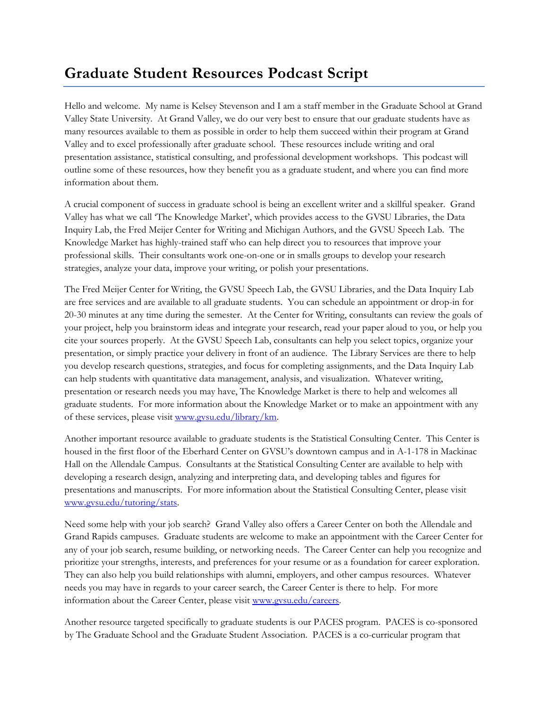## **Graduate Student Resources Podcast Script**

Hello and welcome. My name is Kelsey Stevenson and I am a staff member in the Graduate School at Grand Valley State University. At Grand Valley, we do our very best to ensure that our graduate students have as many resources available to them as possible in order to help them succeed within their program at Grand Valley and to excel professionally after graduate school. These resources include writing and oral presentation assistance, statistical consulting, and professional development workshops. This podcast will outline some of these resources, how they benefit you as a graduate student, and where you can find more information about them.

A crucial component of success in graduate school is being an excellent writer and a skillful speaker. Grand Valley has what we call 'The Knowledge Market', which provides access to the GVSU Libraries, the Data Inquiry Lab, the Fred Meijer Center for Writing and Michigan Authors, and the GVSU Speech Lab. The Knowledge Market has highly-trained staff who can help direct you to resources that improve your professional skills. Their consultants work one-on-one or in smalls groups to develop your research strategies, analyze your data, improve your writing, or polish your presentations.

The Fred Meijer Center for Writing, the GVSU Speech Lab, the GVSU Libraries, and the Data Inquiry Lab are free services and are available to all graduate students. You can schedule an appointment or drop-in for 20-30 minutes at any time during the semester. At the Center for Writing, consultants can review the goals of your project, help you brainstorm ideas and integrate your research, read your paper aloud to you, or help you cite your sources properly. At the GVSU Speech Lab, consultants can help you select topics, organize your presentation, or simply practice your delivery in front of an audience. The Library Services are there to help you develop research questions, strategies, and focus for completing assignments, and the Data Inquiry Lab can help students with quantitative data management, analysis, and visualization. Whatever writing, presentation or research needs you may have, The Knowledge Market is there to help and welcomes all graduate students. For more information about the Knowledge Market or to make an appointment with any of these services, please visit [www.gvsu.edu/library/km.](http://www.gvsu.edu/library/km)

Another important resource available to graduate students is the Statistical Consulting Center. This Center is housed in the first floor of the Eberhard Center on GVSU's downtown campus and in A-1-178 in Mackinac Hall on the Allendale Campus. Consultants at the Statistical Consulting Center are available to help with developing a research design, analyzing and interpreting data, and developing tables and figures for presentations and manuscripts. For more information about the Statistical Consulting Center, please visit [www.gvsu.edu/tutoring/stats.](http://www.gvsu.edu/tutoring/stats)

Need some help with your job search? Grand Valley also offers a Career Center on both the Allendale and Grand Rapids campuses. Graduate students are welcome to make an appointment with the Career Center for any of your job search, resume building, or networking needs. The Career Center can help you recognize and prioritize your strengths, interests, and preferences for your resume or as a foundation for career exploration. They can also help you build relationships with alumni, employers, and other campus resources. Whatever needs you may have in regards to your career search, the Career Center is there to help. For more information about the Career Center, please visit [www.gvsu.edu/careers.](http://www.gvsu.edu/careers)

Another resource targeted specifically to graduate students is our PACES program. PACES is co-sponsored by The Graduate School and the Graduate Student Association. PACES is a co-curricular program that